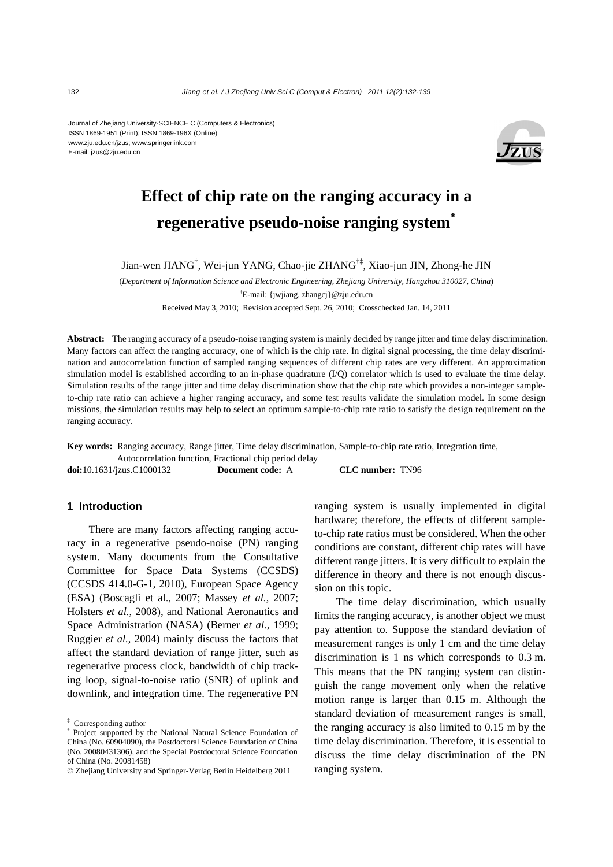Journal of Zhejiang University-SCIENCE C (Computers & Electronics) ISSN 1869-1951 (Print); ISSN 1869-196X (Online) www.zju.edu.cn/jzus; www.springerlink.com E-mail: jzus@zju.edu.cn



# **Effect of chip rate on the ranging accuracy in a regenerative pseudo-noise ranging system\***

Jian-wen JIANG† , Wei-jun YANG, Chao-jie ZHANG†‡, Xiao-jun JIN, Zhong-he JIN

(*Department of Information Science and Electronic Engineering, Zhejiang University, Hangzhou 310027, China*)

† E-mail: {jwjiang, zhangcj}@zju.edu.cn

Received May 3, 2010; Revision accepted Sept. 26, 2010; Crosschecked Jan. 14, 2011

**Abstract:** The ranging accuracy of a pseudo-noise ranging system is mainly decided by range jitter and time delay discrimination. Many factors can affect the ranging accuracy, one of which is the chip rate. In digital signal processing, the time delay discrimination and autocorrelation function of sampled ranging sequences of different chip rates are very different. An approximation simulation model is established according to an in-phase quadrature (I/Q) correlator which is used to evaluate the time delay. Simulation results of the range jitter and time delay discrimination show that the chip rate which provides a non-integer sampleto-chip rate ratio can achieve a higher ranging accuracy, and some test results validate the simulation model. In some design missions, the simulation results may help to select an optimum sample-to-chip rate ratio to satisfy the design requirement on the ranging accuracy.

**Key words:** Ranging accuracy, Range jitter, Time delay discrimination, Sample-to-chip rate ratio, Integration time,

Autocorrelation function, Fractional chip period delay

**doi:**10.1631/jzus.C1000132 **Document code:** A **CLC number:** TN96

#### **1 Introduction**

There are many factors affecting ranging accuracy in a regenerative pseudo-noise (PN) ranging system. Many documents from the Consultative Committee for Space Data Systems (CCSDS) (CCSDS 414.0-G-1, 2010), European Space Agency (ESA) (Boscagli et al., 2007; Massey *et al.*, 2007; Holsters *et al.*, 2008), and National Aeronautics and Space Administration (NASA) (Berner *et al.*, 1999; Ruggier *et al.*, 2004) mainly discuss the factors that affect the standard deviation of range jitter, such as regenerative process clock, bandwidth of chip tracking loop, signal-to-noise ratio (SNR) of uplink and downlink, and integration time. The regenerative PN

ranging system is usually implemented in digital hardware; therefore, the effects of different sampleto-chip rate ratios must be considered. When the other conditions are constant, different chip rates will have different range jitters. It is very difficult to explain the difference in theory and there is not enough discussion on this topic.

The time delay discrimination, which usually limits the ranging accuracy, is another object we must pay attention to. Suppose the standard deviation of measurement ranges is only 1 cm and the time delay discrimination is 1 ns which corresponds to 0.3 m. This means that the PN ranging system can distinguish the range movement only when the relative motion range is larger than 0.15 m. Although the standard deviation of measurement ranges is small, the ranging accuracy is also limited to 0.15 m by the time delay discrimination. Therefore, it is essential to discuss the time delay discrimination of the PN ranging system.

<sup>‡</sup> Corresponding author

<sup>\*</sup> Project supported by the National Natural Science Foundation of China (No. 60904090), the Postdoctoral Science Foundation of China (No. 20080431306), and the Special Postdoctoral Science Foundation of China (No. 20081458)

<sup>©</sup> Zhejiang University and Springer-Verlag Berlin Heidelberg 2011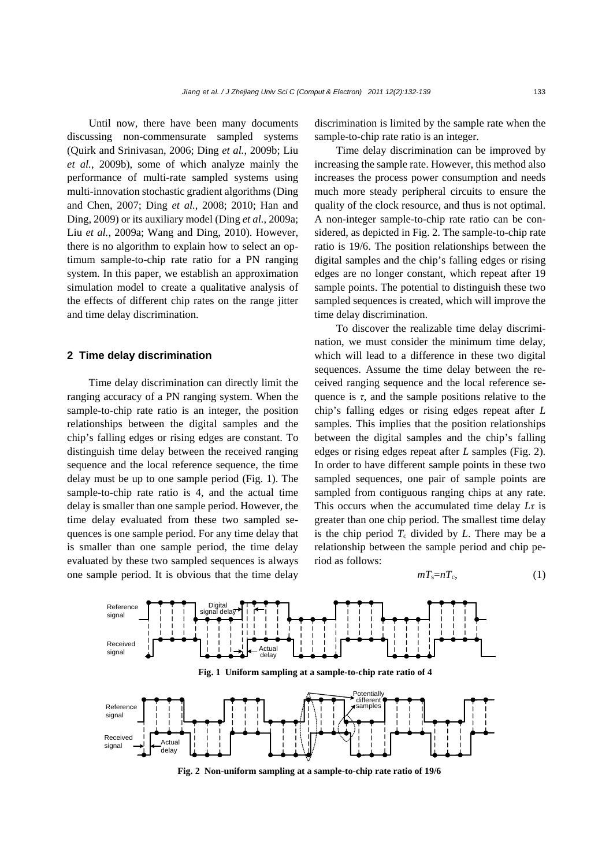Until now, there have been many documents discussing non-commensurate sampled systems (Quirk and Srinivasan, 2006; Ding *et al.*, 2009b; Liu *et al.*, 2009b), some of which analyze mainly the performance of multi-rate sampled systems using multi-innovation stochastic gradient algorithms (Ding and Chen, 2007; Ding *et al.*, 2008; 2010; Han and Ding, 2009) or its auxiliary model (Ding *et al.*, 2009a; Liu *et al.*, 2009a; Wang and Ding, 2010). However, there is no algorithm to explain how to select an optimum sample-to-chip rate ratio for a PN ranging system. In this paper, we establish an approximation simulation model to create a qualitative analysis of the effects of different chip rates on the range jitter and time delay discrimination.

#### **2 Time delay discrimination**

Time delay discrimination can directly limit the ranging accuracy of a PN ranging system. When the sample-to-chip rate ratio is an integer, the position relationships between the digital samples and the chip's falling edges or rising edges are constant. To distinguish time delay between the received ranging sequence and the local reference sequence, the time delay must be up to one sample period (Fig. 1). The sample-to-chip rate ratio is 4, and the actual time delay is smaller than one sample period. However, the time delay evaluated from these two sampled sequences is one sample period. For any time delay that is smaller than one sample period, the time delay evaluated by these two sampled sequences is always one sample period. It is obvious that the time delay

discrimination is limited by the sample rate when the sample-to-chip rate ratio is an integer.

Time delay discrimination can be improved by increasing the sample rate. However, this method also increases the process power consumption and needs much more steady peripheral circuits to ensure the quality of the clock resource, and thus is not optimal. A non-integer sample-to-chip rate ratio can be considered, as depicted in Fig. 2. The sample-to-chip rate ratio is 19/6. The position relationships between the digital samples and the chip's falling edges or rising edges are no longer constant, which repeat after 19 sample points. The potential to distinguish these two sampled sequences is created, which will improve the time delay discrimination.

To discover the realizable time delay discrimination, we must consider the minimum time delay, which will lead to a difference in these two digital sequences. Assume the time delay between the received ranging sequence and the local reference sequence is  $\tau$ , and the sample positions relative to the chip's falling edges or rising edges repeat after *L* samples. This implies that the position relationships between the digital samples and the chip's falling edges or rising edges repeat after *L* samples (Fig. 2). In order to have different sample points in these two sampled sequences, one pair of sample points are sampled from contiguous ranging chips at any rate. This occurs when the accumulated time delay *Lτ* is greater than one chip period. The smallest time delay is the chip period  $T_c$  divided by  $L$ . There may be a relationship between the sample period and chip period as follows:

$$
mT_{\rm s}=nT_{\rm c},\tag{1}
$$



**Fig. 2 Non-uniform sampling at a sample-to-chip rate ratio of 19/6**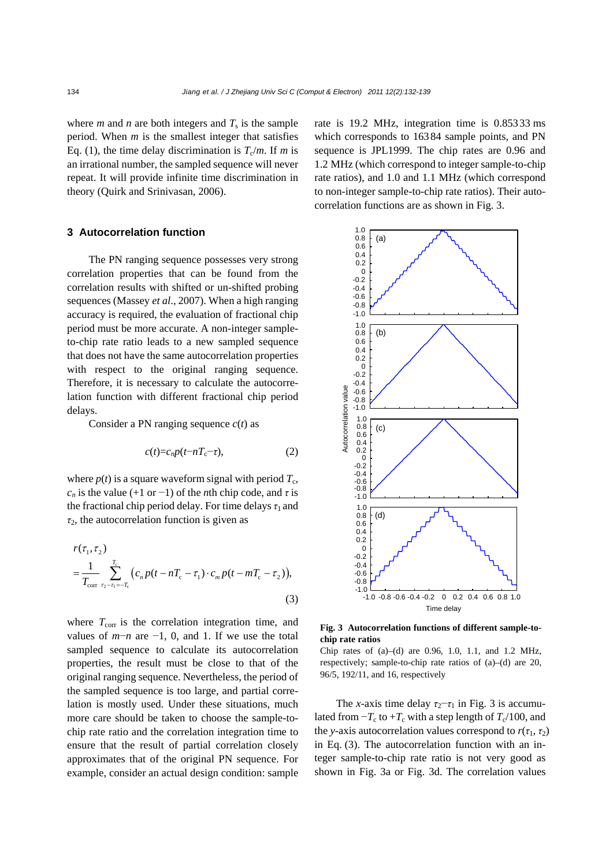where *m* and *n* are both integers and  $T_s$  is the sample period. When *m* is the smallest integer that satisfies Eq. (1), the time delay discrimination is  $T_c/m$ . If *m* is an irrational number, the sampled sequence will never repeat. It will provide infinite time discrimination in theory (Quirk and Srinivasan, 2006).

## **3 Autocorrelation function**

The PN ranging sequence possesses very strong correlation properties that can be found from the correlation results with shifted or un-shifted probing sequences (Massey *et al*., 2007). When a high ranging accuracy is required, the evaluation of fractional chip period must be more accurate. A non-integer sampleto-chip rate ratio leads to a new sampled sequence that does not have the same autocorrelation properties with respect to the original ranging sequence. Therefore, it is necessary to calculate the autocorrelation function with different fractional chip period delays.

Consider a PN ranging sequence *c*(*t*) as

$$
c(t) = c_n p(t - nT_c - \tau), \qquad (2)
$$

where  $p(t)$  is a square waveform signal with period  $T_c$ ,  $c_n$  is the value (+1 or -1) of the *n*th chip code, and  $\tau$  is the fractional chip period delay. For time delays  $\tau_1$  and *τ*2, the autocorrelation function is given as

$$
r(\tau_1, \tau_2)
$$
  
=  $\frac{1}{T_{\text{corr}}} \sum_{\tau_2 - \tau_1 = -T_c}^{T_c} (c_n p(t - nT_c - \tau_1) \cdot c_m p(t - mT_c - \tau_2)),$  (3)

where  $T_{\text{corr}}$  is the correlation integration time, and values of  $m−n$  are  $-1$ , 0, and 1. If we use the total sampled sequence to calculate its autocorrelation properties, the result must be close to that of the original ranging sequence. Nevertheless, the period of the sampled sequence is too large, and partial correlation is mostly used. Under these situations, much more care should be taken to choose the sample-tochip rate ratio and the correlation integration time to ensure that the result of partial correlation closely approximates that of the original PN sequence. For example, consider an actual design condition: sample

rate is 19.2 MHz, integration time is 0.85333 ms which corresponds to 16384 sample points, and PN sequence is JPL1999. The chip rates are 0.96 and 1.2 MHz (which correspond to integer sample-to-chip rate ratios), and 1.0 and 1.1 MHz (which correspond to non-integer sample-to-chip rate ratios). Their autocorrelation functions are as shown in Fig. 3.



**Fig. 3 Autocorrelation functions of different sample-tochip rate ratios** 

Chip rates of  $(a)$ – $(d)$  are 0.96, 1.0, 1.1, and 1.2 MHz, respectively; sample-to-chip rate ratios of (a)–(d) are 20, 96/5, 192/11, and 16, respectively

The *x*-axis time delay  $\tau_2 - \tau_1$  in Fig. 3 is accumulated from  $-T_c$  to  $+T_c$  with a step length of  $T_c/100$ , and the *y*-axis autocorrelation values correspond to  $r(\tau_1, \tau_2)$ in Eq. (3). The autocorrelation function with an integer sample-to-chip rate ratio is not very good as shown in Fig. 3a or Fig. 3d. The correlation values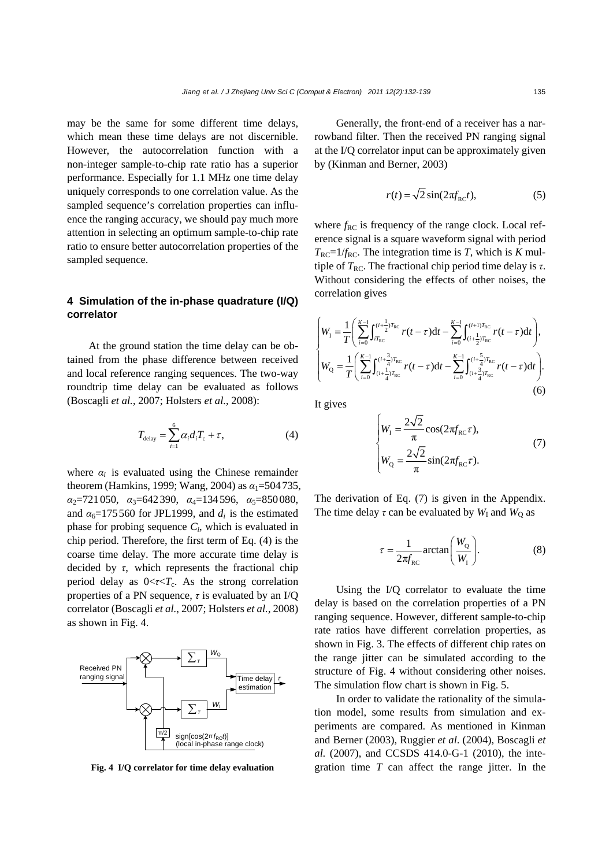may be the same for some different time delays, which mean these time delays are not discernible. However, the autocorrelation function with a non-integer sample-to-chip rate ratio has a superior performance. Especially for 1.1 MHz one time delay uniquely corresponds to one correlation value. As the sampled sequence's correlation properties can influence the ranging accuracy, we should pay much more attention in selecting an optimum sample-to-chip rate ratio to ensure better autocorrelation properties of the sampled sequence.

# **4 Simulation of the in-phase quadrature (I/Q) correlator**

At the ground station the time delay can be obtained from the phase difference between received and local reference ranging sequences. The two-way roundtrip time delay can be evaluated as follows (Boscagli *et al.*, 2007; Holsters *et al.*, 2008):

$$
T_{\text{delay}} = \sum_{i=1}^{6} \alpha_i d_i T_c + \tau, \tag{4}
$$

where  $\alpha_i$  is evaluated using the Chinese remainder theorem (Hamkins, 1999; Wang, 2004) as  $\alpha_1$ =504735, *α*2=721050, *α*3=642390, *α*4=134596, *α*5=850080, and  $\alpha_6$ =175560 for JPL1999, and  $d_i$  is the estimated phase for probing sequence  $C_i$ , which is evaluated in chip period. Therefore, the first term of Eq. (4) is the coarse time delay. The more accurate time delay is decided by *τ*, which represents the fractional chip period delay as  $0 < \tau < T_c$ . As the strong correlation properties of a PN sequence, *τ* is evaluated by an I/Q correlator (Boscagli *et al.*, 2007; Holsters *et al.*, 2008) as shown in Fig. 4.



**Fig. 4 I/Q correlator for time delay evaluation**

Generally, the front-end of a receiver has a narrowband filter. Then the received PN ranging signal at the I/Q correlator input can be approximately given by (Kinman and Berner, 2003)

$$
r(t) = \sqrt{2}\sin(2\pi f_{\rm RC}t),\tag{5}
$$

where  $f_{RC}$  is frequency of the range clock. Local reference signal is a square waveform signal with period  $T_{\text{RC}}=1/f_{\text{RC}}$ . The integration time is *T*, which is *K* multiple of  $T_{RC}$ . The fractional chip period time delay is  $\tau$ . Without considering the effects of other noises, the correlation gives

$$
\begin{cases} W_{\rm I} = \frac{1}{T} \Bigg( \sum_{i=0}^{K-1} \int_{i T_{\rm RC}}^{(i+\frac{1}{2})T_{\rm RC}} r(t-\tau) \mathrm{d}t - \sum_{i=0}^{K-1} \int_{(i+\frac{1}{2})T_{\rm RC}}^{(i+1)T_{\rm RC}} r(t-\tau) \mathrm{d}t \Bigg), \\ W_{\rm Q} = \frac{1}{T} \Bigg( \sum_{i=0}^{K-1} \int_{(i+\frac{1}{4})T_{\rm RC}}^{(i+\frac{3}{4})T_{\rm RC}} r(t-\tau) \mathrm{d}t - \sum_{i=0}^{K-1} \int_{(i+\frac{3}{4})T_{\rm RC}}^{(i+\frac{5}{4})T_{\rm RC}} r(t-\tau) \mathrm{d}t \Bigg). \end{cases} \tag{6}
$$

It gives

$$
\begin{cases}\nW_{\rm I} = \frac{2\sqrt{2}}{\pi} \cos(2\pi f_{\rm RC} \tau), \\
W_{\rm Q} = \frac{2\sqrt{2}}{\pi} \sin(2\pi f_{\rm RC} \tau).\n\end{cases} \tag{7}
$$

The derivation of Eq. (7) is given in the Appendix. The time delay  $\tau$  can be evaluated by  $W_I$  and  $W_O$  as

$$
\tau = \frac{1}{2\pi f_{\text{RC}}} \arctan\left(\frac{W_{\text{Q}}}{W_{\text{I}}}\right). \tag{8}
$$

Using the I/Q correlator to evaluate the time delay is based on the correlation properties of a PN ranging sequence. However, different sample-to-chip rate ratios have different correlation properties, as shown in Fig. 3. The effects of different chip rates on the range jitter can be simulated according to the structure of Fig. 4 without considering other noises. The simulation flow chart is shown in Fig. 5.

In order to validate the rationality of the simulation model, some results from simulation and experiments are compared. As mentioned in Kinman and Berner (2003), Ruggier *et al*. (2004), Boscagli *et al.* (2007), and CCSDS 414.0-G-1 (2010), the integration time *T* can affect the range jitter. In the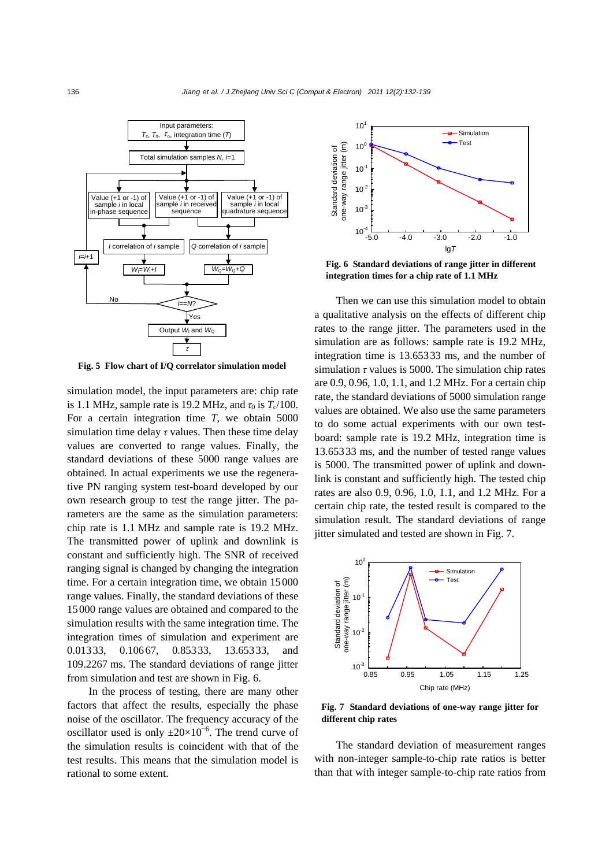

**Fig. 5 Flow chart of I/Q correlator simulation model**

simulation model, the input parameters are: chip rate is 1.1 MHz, sample rate is 19.2 MHz, and  $\tau_0$  is  $T_c/100$ . For a certain integration time *T*, we obtain 5000 simulation time delay *τ* values. Then these time delay values are converted to range values. Finally, the standard deviations of these 5000 range values are obtained. In actual experiments we use the regenerative PN ranging system test-board developed by our own research group to test the range jitter. The parameters are the same as the simulation parameters: chip rate is 1.1 MHz and sample rate is 19.2 MHz. The transmitted power of uplink and downlink is constant and sufficiently high. The SNR of received ranging signal is changed by changing the integration time. For a certain integration time, we obtain 15000 range values. Finally, the standard deviations of these 15000 range values are obtained and compared to the simulation results with the same integration time. The integration times of simulation and experiment are 0.01333, 0.10667, 0.85333, 13.65333, and 109.2267 ms. The standard deviations of range jitter from simulation and test are shown in Fig. 6.

In the process of testing, there are many other factors that affect the results, especially the phase noise of the oscillator. The frequency accuracy of the oscillator used is only  $\pm 20 \times 10^{-6}$ . The trend curve of the simulation results is coincident with that of the test results. This means that the simulation model is rational to some extent.



**Fig. 6 Standard deviations of range jitter in different integration times for a chip rate of 1.1 MHz**

Then we can use this simulation model to obtain a qualitative analysis on the effects of different chip rates to the range jitter. The parameters used in the simulation are as follows: sample rate is 19.2 MHz, integration time is 13.65333 ms, and the number of simulation *τ* values is 5000. The simulation chip rates are 0.9, 0.96, 1.0, 1.1, and 1.2 MHz. For a certain chip rate, the standard deviations of 5000 simulation range values are obtained. We also use the same parameters to do some actual experiments with our own testboard: sample rate is 19.2 MHz, integration time is 13.65333 ms, and the number of tested range values is 5000. The transmitted power of uplink and downlink is constant and sufficiently high. The tested chip rates are also 0.9, 0.96, 1.0, 1.1, and 1.2 MHz. For a certain chip rate, the tested result is compared to the simulation result. The standard deviations of range jitter simulated and tested are shown in Fig. 7.



**Fig. 7 Standard deviations of one-way range jitter for different chip rates**

The standard deviation of measurement ranges with non-integer sample-to-chip rate ratios is better than that with integer sample-to-chip rate ratios from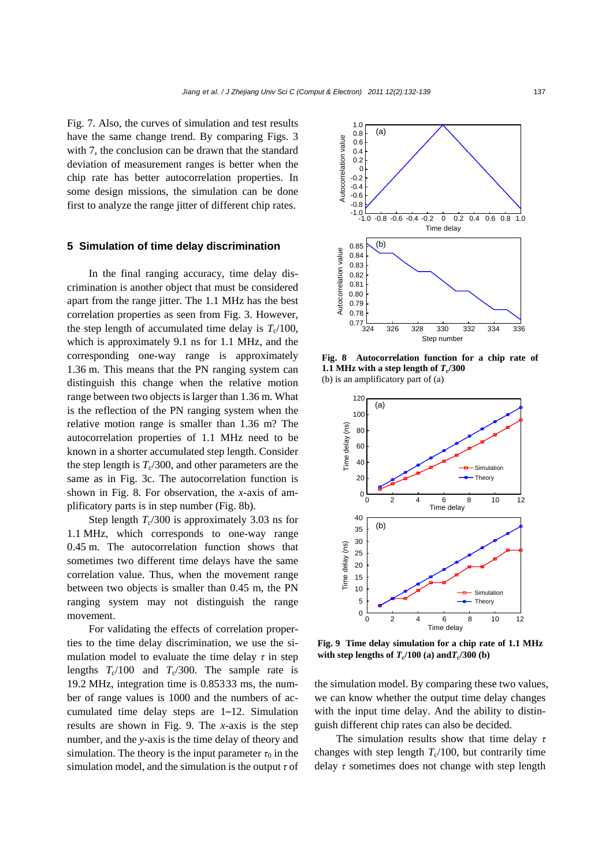Fig. 7. Also, the curves of simulation and test results have the same change trend. By comparing Figs. 3 with 7, the conclusion can be drawn that the standard deviation of measurement ranges is better when the chip rate has better autocorrelation properties. In some design missions, the simulation can be done first to analyze the range jitter of different chip rates.

#### **5 Simulation of time delay discrimination**

In the final ranging accuracy, time delay discrimination is another object that must be considered apart from the range jitter. The 1.1 MHz has the best correlation properties as seen from Fig. 3. However, the step length of accumulated time delay is  $T_c/100$ , which is approximately 9.1 ns for 1.1 MHz, and the corresponding one-way range is approximately 1.36 m. This means that the PN ranging system can distinguish this change when the relative motion range between two objects is larger than 1.36 m. What is the reflection of the PN ranging system when the relative motion range is smaller than 1.36 m? The autocorrelation properties of 1.1 MHz need to be known in a shorter accumulated step length. Consider the step length is  $T_c/300$ , and other parameters are the same as in Fig. 3c. The autocorrelation function is shown in Fig. 8. For observation, the *x*-axis of amplificatory parts is in step number (Fig. 8b).

Step length  $T_c/300$  is approximately 3.03 ns for 1.1 MHz, which corresponds to one-way range 0.45 m. The autocorrelation function shows that sometimes two different time delays have the same correlation value. Thus, when the movement range between two objects is smaller than 0.45 m, the PN ranging system may not distinguish the range movement.

For validating the effects of correlation properties to the time delay discrimination, we use the simulation model to evaluate the time delay  $\tau$  in step lengths  $T_c/100$  and  $T_c/300$ . The sample rate is 19.2 MHz, integration time is 0.85333 ms, the number of range values is 1000 and the numbers of accumulated time delay steps are 1–12. Simulation results are shown in Fig. 9. The *x*-axis is the step number, and the *y*-axis is the time delay of theory and simulation. The theory is the input parameter  $\tau_0$  in the simulation model, and the simulation is the output *τ* of



**Fig. 8 Autocorrelation function for a chip rate of 1.1 MHz with a step length of**  $T_c/300$ (b) is an amplificatory part of (a)



**Fig. 9 Time delay simulation for a chip rate of 1.1 MHz**  with step lengths of  $T_c/100$  (a) and $T_c/300$  (b)

the simulation model. By comparing these two values, we can know whether the output time delay changes with the input time delay. And the ability to distinguish different chip rates can also be decided.

The simulation results show that time delay *τ* changes with step length  $T_c/100$ , but contrarily time delay *τ* sometimes does not change with step length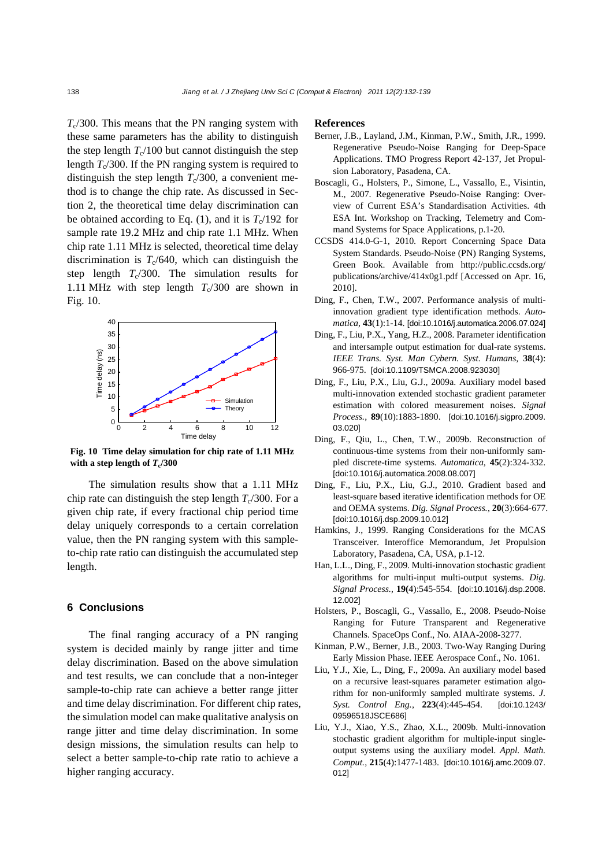$T_c/300$ . This means that the PN ranging system with these same parameters has the ability to distinguish the step length  $T_c/100$  but cannot distinguish the step length  $T_c/300$ . If the PN ranging system is required to distinguish the step length  $T_c/300$ , a convenient method is to change the chip rate. As discussed in Section 2, the theoretical time delay discrimination can be obtained according to Eq. (1), and it is  $T_c/192$  for sample rate 19.2 MHz and chip rate 1.1 MHz. When chip rate 1.11 MHz is selected, theoretical time delay discrimination is  $T_c/640$ , which can distinguish the step length  $T_c/300$ . The simulation results for 1.11 MHz with step length  $T_c/300$  are shown in Fig. 10.



**Fig. 10 Time delay simulation for chip rate of 1.11 MHz** with a step length of  $T_c/300$ 

The simulation results show that a 1.11 MHz chip rate can distinguish the step length  $T_c/300$ . For a given chip rate, if every fractional chip period time delay uniquely corresponds to a certain correlation value, then the PN ranging system with this sampleto-chip rate ratio can distinguish the accumulated step length.

## **6 Conclusions**

The final ranging accuracy of a PN ranging system is decided mainly by range jitter and time delay discrimination. Based on the above simulation and test results, we can conclude that a non-integer sample-to-chip rate can achieve a better range jitter and time delay discrimination. For different chip rates, the simulation model can make qualitative analysis on range jitter and time delay discrimination. In some design missions, the simulation results can help to select a better sample-to-chip rate ratio to achieve a higher ranging accuracy.

#### **References**

- Berner, J.B., Layland, J.M., Kinman, P.W., Smith, J.R., 1999. Regenerative Pseudo-Noise Ranging for Deep-Space Applications. TMO Progress Report 42-137, Jet Propulsion Laboratory, Pasadena, CA.
- Boscagli, G., Holsters, P., Simone, L., Vassallo, E., Visintin, M., 2007. Regenerative Pseudo-Noise Ranging: Overview of Current ESA's Standardisation Activities. 4th ESA Int. Workshop on Tracking, Telemetry and Command Systems for Space Applications, p.1-20.
- CCSDS 414.0-G-1, 2010. Report Concerning Space Data System Standards. Pseudo-Noise (PN) Ranging Systems, Green Book. Available from http://public.ccsds.org/ publications/archive/414x0g1.pdf [Accessed on Apr. 16, 2010].
- Ding, F., Chen, T.W., 2007. Performance analysis of multiinnovation gradient type identification methods. *Automatica*, **43**(1):1-14. [doi:10.1016/j.automatica.2006.07.024]
- Ding, F., Liu, P.X., Yang, H.Z., 2008. Parameter identification and intersample output estimation for dual-rate systems. *IEEE Trans. Syst. Man Cybern. Syst. Humans*, **38**(4): 966-975. [doi:10.1109/TSMCA.2008.923030]
- Ding, F., Liu, P.X., Liu, G.J., 2009a. Auxiliary model based multi-innovation extended stochastic gradient parameter estimation with colored measurement noises. *Signal Process.*, **89**(10):1883-1890. [doi:10.1016/j.sigpro.2009. 03.020]
- Ding, F., Qiu, L., Chen, T.W., 2009b. Reconstruction of continuous-time systems from their non-uniformly sampled discrete-time systems. *Automatica*, **45**(2):324-332. [doi:10.1016/j.automatica.2008.08.007]
- Ding, F., Liu, P.X., Liu, G.J., 2010. Gradient based and least-square based iterative identification methods for OE and OEMA systems. *Dig. Signal Process.*, **20**(3):664-677. [doi:10.1016/j.dsp.2009.10.012]
- Hamkins, J., 1999. Ranging Considerations for the MCAS Transceiver. Interoffice Memorandum, Jet Propulsion Laboratory, Pasadena, CA, USA, p.1-12.
- Han, L.L., Ding, F., 2009. Multi-innovation stochastic gradient algorithms for multi-input multi-output systems. *Dig. Signal Process.*, **19(**4):545-554. [doi:10.1016/j.dsp.2008. 12.002]
- Holsters, P., Boscagli, G., Vassallo, E., 2008. Pseudo-Noise Ranging for Future Transparent and Regenerative Channels. SpaceOps Conf., No. AIAA-2008-3277.
- Kinman, P.W., Berner, J.B., 2003. Two-Way Ranging During Early Mission Phase. IEEE Aerospace Conf., No. 1061.
- Liu, Y.J., Xie, L., Ding, F., 2009a. An auxiliary model based on a recursive least-squares parameter estimation algorithm for non-uniformly sampled multirate systems. *J. Syst. Control Eng.*, **223**(4):445-454. [doi:10.1243/ 09596518JSCE686]
- Liu, Y.J., Xiao, Y.S., Zhao, X.L., 2009b. Multi-innovation stochastic gradient algorithm for multiple-input singleoutput systems using the auxiliary model. *Appl. Math. Comput.*, **215**(4):1477-1483. [doi:10.1016/j.amc.2009.07. 012]